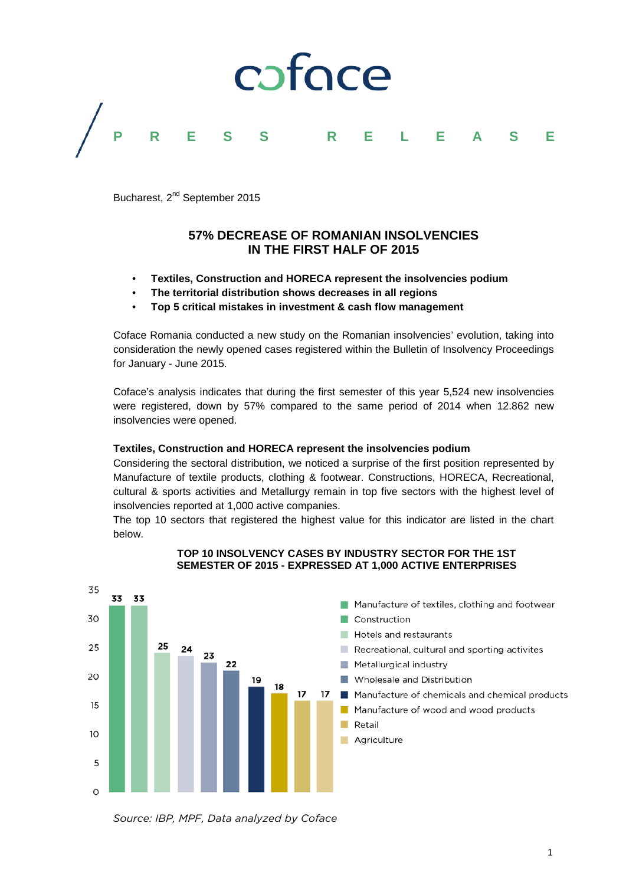

Bucharest, 2<sup>nd</sup> September 2015

# **57% DECREASE OF ROMANIAN INSOLVENCIES IN THE FIRST HALF OF 2015**

- **Textiles, Construction and HORECA represent the insolvencies podium**
- **The territorial distribution shows decreases in all regions**
- **Top 5 critical mistakes in investment & cash flow management**

Coface Romania conducted a new study on the Romanian insolvencies' evolution, taking into consideration the newly opened cases registered within the Bulletin of Insolvency Proceedings for January - June 2015.

Coface's analysis indicates that during the first semester of this year 5,524 new insolvencies were registered, down by 57% compared to the same period of 2014 when 12.862 new insolvencies were opened.

# **Textiles, Construction and HORECA represent the insolvencies podium**

Considering the sectoral distribution, we noticed a surprise of the first position represented by Manufacture of textile products, clothing & footwear. Constructions, HORECA, Recreational, cultural & sports activities and Metallurgy remain in top five sectors with the highest level of insolvencies reported at 1,000 active companies.

The top 10 sectors that registered the highest value for this indicator are listed in the chart below.



## **TOP 10 INSOLVENCY CASES BY INDUSTRY SECTOR FOR THE 1ST SEMESTER OF 2015 - EXPRESSED AT 1,000 ACTIVE ENTERPRISES**

*Source: IBP, MPF, Data analyzed by Coface*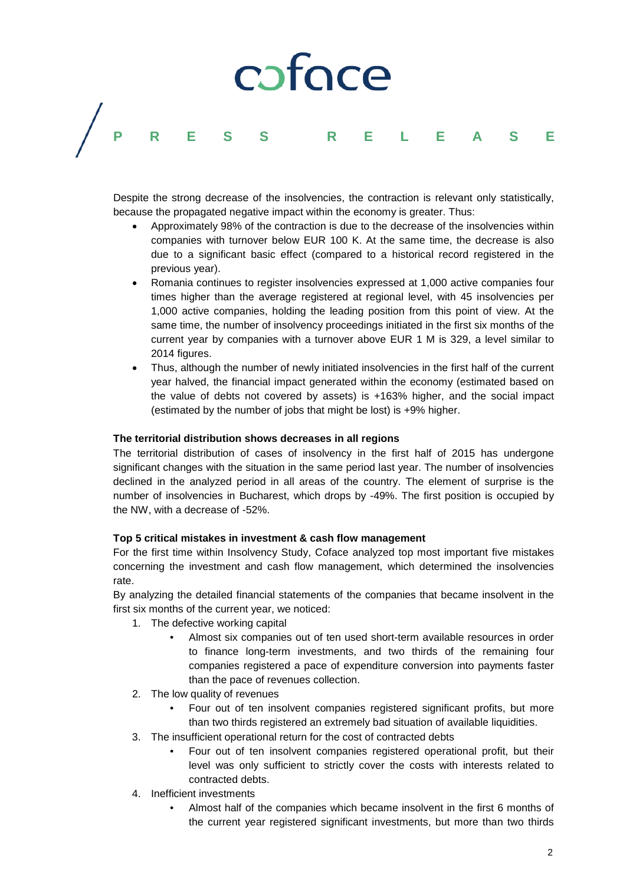# coface **PRESS RELEASE**

Despite the strong decrease of the insolvencies, the contraction is relevant only statistically, because the propagated negative impact within the economy is greater. Thus:

- Approximately 98% of the contraction is due to the decrease of the insolvencies within companies with turnover below EUR 100 K. At the same time, the decrease is also due to a significant basic effect (compared to a historical record registered in the previous year).
- Romania continues to register insolvencies expressed at 1,000 active companies four times higher than the average registered at regional level, with 45 insolvencies per 1,000 active companies, holding the leading position from this point of view. At the same time, the number of insolvency proceedings initiated in the first six months of the current year by companies with a turnover above EUR 1 M is 329, a level similar to 2014 figures.
- Thus, although the number of newly initiated insolvencies in the first half of the current year halved, the financial impact generated within the economy (estimated based on the value of debts not covered by assets) is +163% higher, and the social impact (estimated by the number of jobs that might be lost) is +9% higher.

# **The territorial distribution shows decreases in all regions**

The territorial distribution of cases of insolvency in the first half of 2015 has undergone significant changes with the situation in the same period last year. The number of insolvencies declined in the analyzed period in all areas of the country. The element of surprise is the number of insolvencies in Bucharest, which drops by -49%. The first position is occupied by the NW, with a decrease of -52%.

# **Top 5 critical mistakes in investment & cash flow management**

For the first time within Insolvency Study, Coface analyzed top most important five mistakes concerning the investment and cash flow management, which determined the insolvencies rate.

By analyzing the detailed financial statements of the companies that became insolvent in the first six months of the current year, we noticed:

- 1. The defective working capital
	- Almost six companies out of ten used short-term available resources in order to finance long-term investments, and two thirds of the remaining four companies registered a pace of expenditure conversion into payments faster than the pace of revenues collection.
- 2. The low quality of revenues
	- Four out of ten insolvent companies registered significant profits, but more than two thirds registered an extremely bad situation of available liquidities.
- 3. The insufficient operational return for the cost of contracted debts
	- Four out of ten insolvent companies registered operational profit, but their level was only sufficient to strictly cover the costs with interests related to contracted debts.
- 4. Inefficient investments
	- Almost half of the companies which became insolvent in the first 6 months of the current year registered significant investments, but more than two thirds